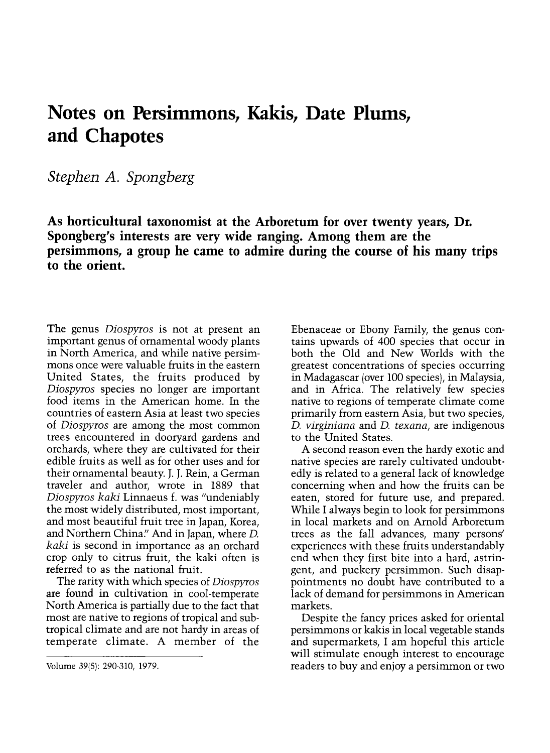## Notes on Persimmons, Kakis, Date Plums, and Chapotes

Stephen A. Spongberg

As horticultural taxonomist at the Arboretum for over twenty years, Dr. Spongberg's interests are very wide ranging. Among them are the persimmons, a group he came to admire during the course of his many trips to the orient.

The genus *Diospyros* is not at present an important genus of ornamental woody plants<br>in North America, and while native persimmons once were valuable fruits in the eastern United States, the fruits produced by Diospyros species no longer are important food items in the American home. In the countries of eastern Asia at least two species of Diospyros are among the most common trees encountered in dooryard gardens and orchards, where they are cultivated for their edible fruits as well as for other uses and for their ornamental beauty. J. J. Rein, a German traveler and author, wrote in 1889 that Diospyros kaki Linnaeus f. was "undeniably the most widely distributed, most important, and most beautiful fruit tree in Japan, Korea, and Northern China." And in Japan, where D. kaki is second in importance as an orchard crop only to citrus fruit, the kaki often is referred to as the national fruit.

The rarity with which species of Diospyros<br>are found in cultivation in cool-temperate North America is partially due to the fact that most are native to regions of tropical and subtropical climate and are not hardy in areas of temperate climate. A member of the

Ebenaceae or Ebony Family, the genus contains upwards of 400 species that occur in both the Old and New Worlds with the greatest concentrations of species occurring in Madagascar (over 100 species), in Malaysia, and in Africa. The relatively few species native to regions of temperate climate come primarily from eastern Asia, but two species, D. virginiana and D. texana, are indigenous to the United States.

A second reason even the hardy exotic and native species are rarely cultivated undoubtedly is related to a general lack of knowledge concerning when and how the fruits can be eaten, stored for future use, and prepared. While I always begin to look for persimmons in local markets and on Arnold Arboretum trees as the fall advances, many persons' experiences with these fruits understandably end when they first bite into a hard, astringent, and puckery persimmon. Such disappointments no doubt have contributed to a lack of demand for persimmons in American markets.

Despite the fancy prices asked for oriental persimmons or kakis in local vegetable stands and supermarkets, I am hopeful this article will stimulate enough interest to encourage readers to buy and enjoy a persimmon or two

Volume 39(5): 290-310, 1979.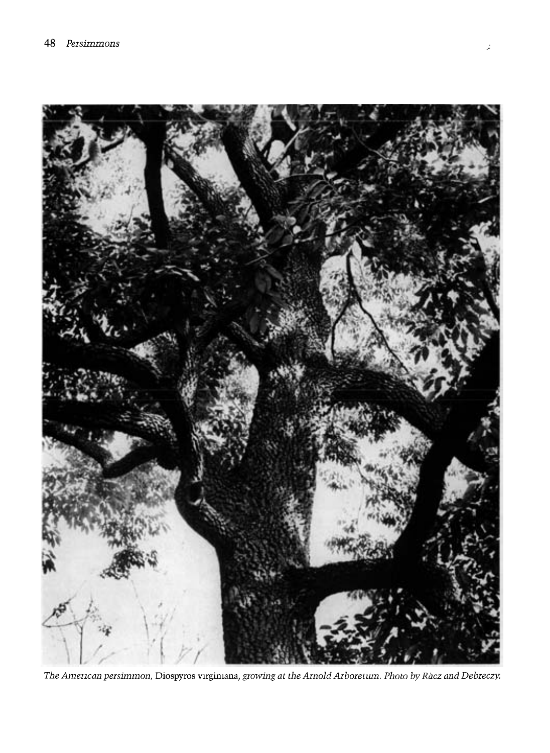

The American persimmon, Diospyros virgimana, growing at the Arnold Arboretum. Photo by Racz and Debreczy.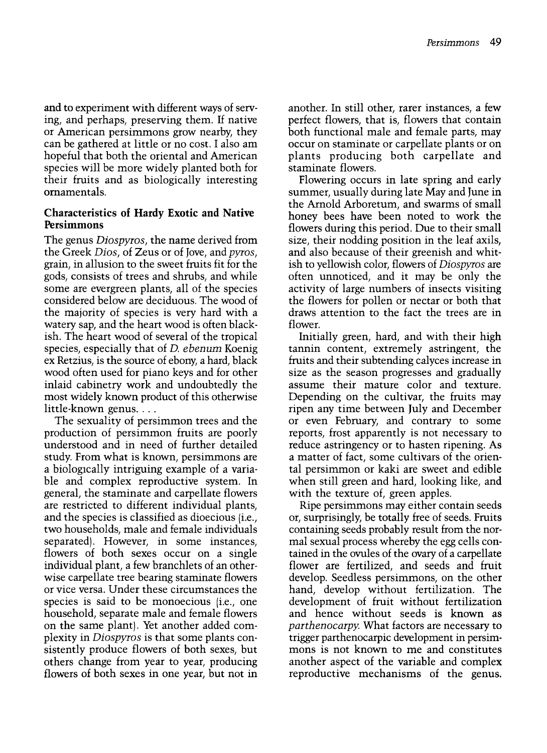and to experiment with different ways of serving, and perhaps, preserving them. If native can be gathered at little or no cost. I also am hopeful that both the oriental and American species will be more widely planted both for their fruits and as biologically interesting ornamentals.

## Characteristics of Hardy Exotic and Native Persimmons

The genus Diospyros, the name derived from the Greek Dios, of Zeus or of Jove, and pyros, grain, in allusion to the sweet fruits fit for the gods, consists of trees and shrubs, and while some are evergreen plants, all of the species considered below are deciduous. The wood of the majority of species is very hard with a watery sap, and the heart wood is often blackish. The heart wood of several of the tropical species, especially that of D. ebenum Koenig ex Retzius, is the source of ebony, a hard, black wood often used for piano keys and for other inlaid cabinetry work and undoubtedly the most widely known product of this otherwise little-known genus....

The sexuality of persimmon trees and the production of persimmon fruits are poorly understood and in need of further detailed study. From what is known, persimmons are a biologically intriguing example of a variable and complex reproductive system. In general, the staminate and carpellate flowers are restricted to different individual plants, and the species is classified as dioecious (i.e., two households, male and female individuals separated). However, in some instances, flowers of both sexes occur on a single individual plant, a few branchlets of an otherwise carpellate tree bearing staminate flowers or vice versa. Under these circumstances the species is said to be monoecious (i.e., one household, separate male and female flowers on the same plant). Yet another added complexity in Diospyros is that some plants consistently produce flowers of both sexes, but others change from year to year, producing flowers of both sexes in one year, but not in

another. In still other, rarer instances, a few perfect flowers, that is, flowers that contain both functional male and female parts, may occur on staminate or carpellate plants or on plants producing both carpellate and staminate flowers.

Flowering occurs in late spring and early summer, usually during late May and June in the Arnold Arboretum, and swarms of small honey bees have been noted to work the flowers during this period. Due to their small size, their nodding position in the leaf axils, and also because of their greenish and whitish to yellowish color, flowers of Diospyros are often unnoticed, and it may be only the activity of large numbers of insects visiting the flowers for pollen or nectar or both that draws attention to the fact the trees are in flower.

Initially green, hard, and with their high tannin content, extremely astringent, the fruits and their subtending calyces increase in size as the season progresses and gradually assume their mature color and texture. Depending on the cultivar, the fruits may ripen any time between July and December or even February, and contrary to some reports, frost apparently is not necessary to reduce astringency or to hasten ripening. As a matter of fact, some cultivars of the oriental persimmon or kaki are sweet and edible when still green and hard, looking like, and with the texture of, green apples.

Ripe persimmons may either contain seeds or, surprisingly, be totally free of seeds. Fruits containing seeds probably result from the normal sexual process whereby the egg cells contained in the ovules of the ovary of a carpellate flower are fertilized, and seeds and fruit develop. Seedless persimmons, on the other hand, develop without fertilization. The development of fruit without fertilization and hence without seeds is known as parthenocarpy. What factors are necessary to trigger parthenocarpic development in persimmons is not known to me and constitutes another aspect of the variable and complex reproductive mechanisms of the genus.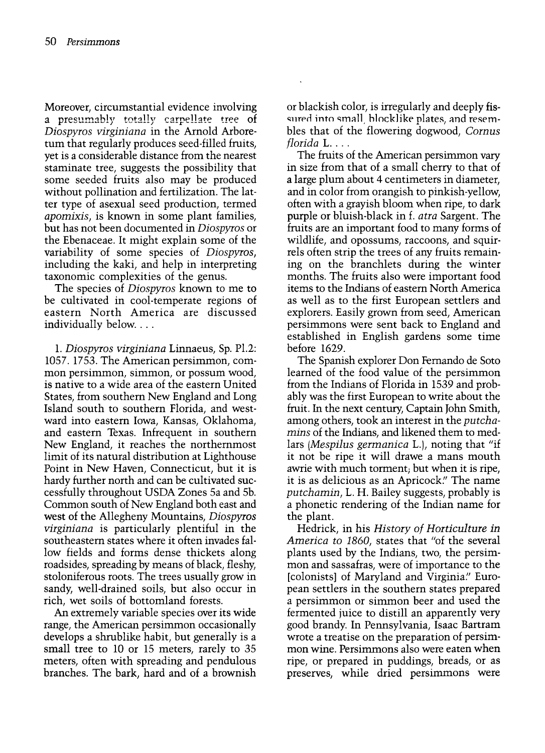Moreover, circumstantial evidence involving a presumably totally carpellate tree of Diospyros virginiana in the Arnold Arboretum that regularly produces seed-filled fruits, yet is a considerable distance from the nearest staminate tree, suggests the possibility that some seeded fruits also may be produced without pollination and fertilization. The latter type of asexual seed production, termed apomixis, is known in some plant families, but has not been documented in Diospyros or the Ebenaceae. It might explain some of the variability of some species of Diospyros, including the kaki, and help in interpreting taxonomic complexities of the genus.

The species of *Diospyros* known to me to be cultivated in cool-temperate regions of eastern North America are discussed individually below....

1. Diospyros virginiana Linnaeus, Sp. P1.2: 1057. 1753. The American persimmon, common persimmon, simmon, or possum wood, is native to a wide area of the eastern United States, from southern New England and Long Island south to southern Florida, and westward into eastern Iowa, Kansas, Oklahoma, and eastern Texas. Infrequent in southern New England, it reaches the northernmost limit of its natural distribution at Lighthouse Point in New Haven, Connecticut, but it is hardy further north and can be cultivated successfully throughout USDA Zones 5a and 5b. Common south of New England both east and west of the Allegheny Mountains, Diospyros virginiana is particularly plentiful in the southeastern states where it often invades fallow fields and forms dense thickets along roadsides, spreading by means of black, fleshy, stoloniferous roots. The trees usually grow in sandy, well-drained soils, but also occur in rich, wet soils of bottomland forests.

An extremely variable species over its wide range, the American persimmon occasionally develops a shrublike habit, but generally is a small tree to 10 or 15 meters, rarely to 35 meters, often with spreading and pendulous branches. The bark, hard and of a brownish or blackish color, is irregularly and deeply fissured into small, blocklike plates, and resembles that of the flowering dogwood, Cornus florida L....

The fruits of the American persimmon vary in size from that of a small cherry to that of a large plum about 4 centimeters in diameter, and in color from orangish to pinkish-yellow, often with a grayish bloom when ripe, to dark purple or bluish-black in f. atra Sargent. The fruits are an important food to many forms of wildlife, and opossums, raccoons, and squirrels often strip the trees of any fruits remaining on the branchlets during the winter months. The fruits also were important food items to the Indians of eastern North America as well as to the first European settlers and explorers. Easily grown from seed, American persimmons were sent back to England and established in English gardens some time before 1629.

The Spanish explorer Don Fernando de Soto learned of the food value of the persimmon from the Indians of Florida in 1539 and probably was the first European to write about the fruit. In the next century, Captain John Smith, among others, took an interest in the putchamins of the Indians, and likened them to medlars (Mespilus germanica L.), noting that "if it not be ripe it will drawe a mans mouth awrie with much torment; but when it is ripe, it is as delicious as an Apricock." The name putchamin, L. H. Bailey suggests, probably is a phonetic rendering of the Indian name for the plant.

Hedrick, in his History of Horticulture in America to 1860, states that "of the several plants used by the Indians, two, the persimmon and sassafras, were of importance to the [colonists] of Maryland and Virginia." Euroa persimmon or simmon beer and used the fermented juice to distill an apparently very good brandy. In Pennsylvania, Isaac Bartram mon wine. Persimmons also were eaten when ripe, or prepared in puddings, breads, or as preserves, while dried persimmons were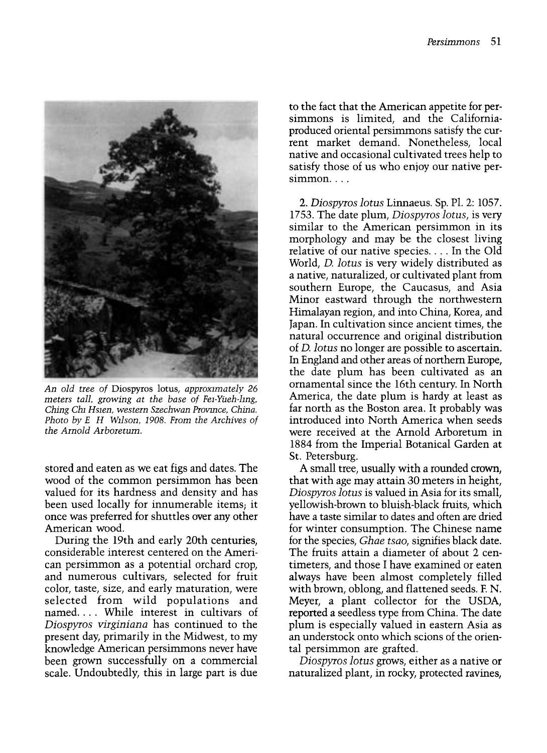

An old tree of Diospyros lotus, approximately 26 meters tall, growing at the base of Fei-Yueh-ling, Ching Chi Hsien, western Szechwan Province, China. Photo by E H Wilson, 1908. From the Archives of the Arnold Arboretum.

stored and eaten as we eat figs and dates. The wood of the common persimmon has been valued for its hardness and density and has been used locally for innumerable items; it once was preferred for shuttles over any other American wood.

During the 19th and early 20th centuries, considerable interest centered on the American persimmon as a potential orchard crop, and numerous cultivars, selected for fruit color, taste, size, and early maturation, were selected from wild populations and named.... While interest in cultivars of Diospyros virginiana has continued to the present day, primarily in the Midwest, to my knowledge American persimmons never have been grown successfully on a commercial scale. Undoubtedly, this in large part is due

to the fact that the American appetite for persimmons is limited, and the Californiaproduced oriental persimmons satisfy the current market demand. Nonetheless, local native and occasional cultivated trees help to satisfy those of us who enjoy our native persimmon...

2. Diospyros lotus Linnaeus. Sp. Pl. 2: 1057. 1753. The date plum, Diospyros lotus, is very similar to the American persimmon in its morphology and may be the closest living relative of our native species.... In the Old World, D. lotus is very widely distributed as a native, naturalized, or cultivated plant from southern Europe, the Caucasus, and Asia Minor eastward through the northwestern Himalayan region, and into China, Korea, and Japan. In cultivation since ancient times, the natural occurrence and original distribution of D. lotus no longer are possible to ascertain. In England and other areas of northern Europe, the date plum has been cultivated as an ornamental since the 16th century. In North America, the date plum is hardy at least as far north as the Boston area. It probably was introduced into North America when seeds were received at the Arnold Arboretum in 1884 from the Imperial Botanical Garden at St. Petersburg.

A small tree, usually with a rounded crown, that with age may attain 30 meters in height, Diospyros lotus is valued in Asia for its small, yellowish-brown to bluish-black fruits, which have a taste similar to dates and often are dried for winter consumption. The Chinese name for the species, Ghae tsao, signifies black date. The fruits attain a diameter of about 2 centimeters, and those I have examined or eaten always have been almost completely filled with brown, oblong, and flattened seeds. F. N. Meyer, a plant collector for the USDA, reported a seedless type from China. The date plum is especially valued in eastern Asia as an understock onto which scions of the oriental persimmon are grafted.

Diospyros lotus grows, either as a native or naturalized plant, in rocky, protected ravines,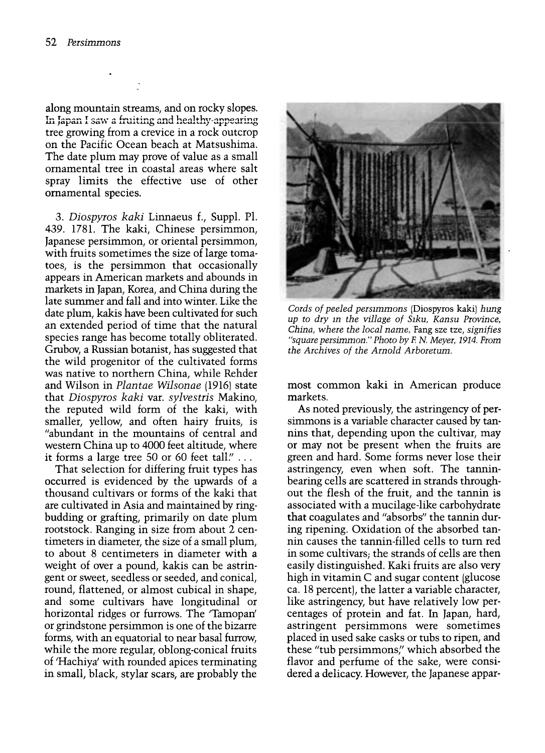along mountain streams, and on rocky slopes. In Japan I saw a fruiting and healthy-appearing tree growing from a crevice in a rock outcrop on the Pacific Ocean beach at Matsushima. The date plum may prove of value as a small ornamental tree in coastal areas where salt spray limits the effective use of other ornamental species.

3. Diospyros kaki Linnaeus f., Suppl. Pl. 439. 1781. The kaki, Chinese persimmon, Japanese persimmon, or oriental persimmon, with fruits sometimes the size of large tomatoes, is the persimmon that occasionally appears in American markets and abounds in markets in Japan, Korea, and China during the late summer and fall and into winter. Like the date plum, kakis have been cultivated for such an extended period of time that the natural species range has become totally obliterated. Grubov, a Russian botanist, has suggested that the wild progenitor of the cultivated forms was native to northern China, while Rehder and Wilson in Plantae Wilsonae (1916) state that Diospyros kaki var. sylvestris Makino, the reputed wild form of the kaki, with smaller, yellow, and often hairy fruits, is "abundant in the mountains of central and western China up to 4000 feet altitude, where it forms a large tree 50 or 60 feet tall." ...

That selection for differing fruit types has occurred is evidenced by the upwards of a thousand cultivars or forms of the kaki that are cultivated in Asia and maintained by ringbudding or grafting, primarily on date plum rootstock. Ranging in size from about 2 centimeters in diameter, the size of a small plum, to about 8 centimeters in diameter with a weight of over a pound, kakis can be astringent or sweet, seedless or seeded, and conical, round, flattened, or almost cubical in shape, and some cultivars have longitudinal or horizontal ridges or furrows. The 'Tamopan' or grindstone persimmon is one of the bizarre forms, with an equatorial to near basal furrow, while the more regular, oblong-conical fruits of 'Hachiya' with rounded apices terminating in small, black, stylar scars, are probably the



Cords of peeled persimmons (Diospyros kaki) hung up to dry in the village of Siku, Kansu Province, China, where the local name, Fang sze tze, signifies "square persimmon." Photo byE N. Meyer, 1914. From the Archives of the Arnold Arboretum.

most common kaki in American produce markets.

As noted previously, the astringency of persimmons is a variable character caused by tannins that, depending upon the cultivar, may or may not be present when the fruits are green and hard. Some forms never lose their astringency, even when soft. The tanninbearing cells are scattered in strands through out the flesh of the fruit, and the tannin is associated with a mucilage-like carbohydrate that coagulates and "absorbs" the tannin during ripening. Oxidation of the absorbed tannin causes the tannin-filled cells to turn red in some cultivars; the strands of cells are then easily distinguished. Kaki fruits are also very high in vitamin C and sugar content (glucose ca. 18 percent), the latter a variable character, like astringency, but have relatively low percentages of protein and fat. In Japan, hard, astringent persimmons were sometimes placed in used sake casks or tubs to ripen, and these "tub persimmons" which absorbed the flavor and perfume of the sake, were considered a delicacy. However, the Japanese appar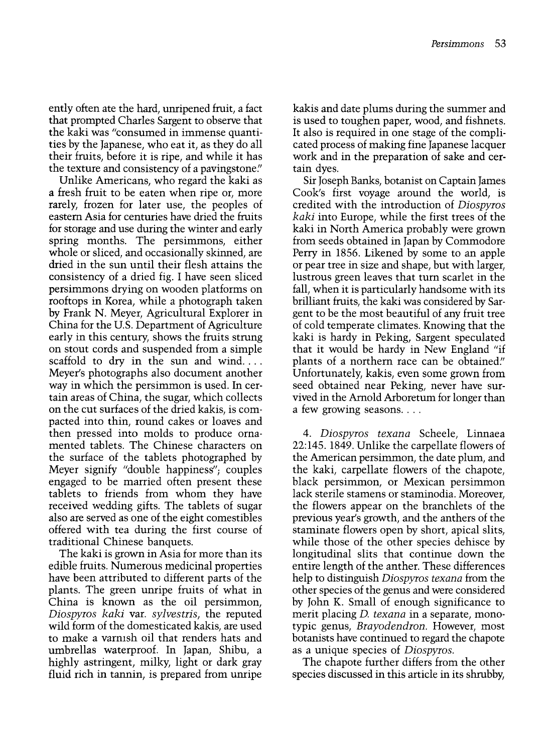ently often ate the hard, unripened fruit, a fact that prompted Charles Sargent to observe that the kaki was "consumed in immense quantities by the Japanese, who eat it, as they do all their fruits, before it is ripe, and while it has the texture and consistency of a pavingstone."

Unlike Americans, who regard the kaki as a fresh fruit to be eaten when ripe or, more rarely, frozen for later use, the peoples of eastern Asia for centuries have dried the fruits for storage and use during the winter and early spring months. The persimmons, either whole or sliced, and occasionally skinned, are dried in the sun until their flesh attains the consistency of a dried fig. I have seen sliced persimmons drying on wooden platforms on rooftops in Korea, while a photograph taken by Frank N. Meyer, Agricultural Explorer in China for the U.S. Department of Agriculture early in this century, shows the fruits strung on stout cords and suspended from a simple scaffold to dry in the sun and wind.... Meyer's photographs also document another way in which the persimmon is used. In certain areas of China, the sugar, which collects on the cut surfaces of the dried kakis, is compacted into thin, round cakes or loaves and then pressed into molds to produce ornamented tablets. The Chinese characters on the surface of the tablets photographed by Meyer signify "double happiness"; couples engaged to be married often present these tablets to friends from whom they have received wedding gifts. The tablets of sugar also are served as one of the eight comestibles offered with tea during the first course of traditional Chinese banquets.

The kaki is grown in Asia for more than its edible fruits. Numerous medicinal properties have been attributed to different parts of the plants. The green unripe fruits of what in China is known as the oil persimmon, Diospyros kaki var. sylvestris, the reputed wild form of the domesticated kakis, are used to make a varnish oil that renders hats and umbrellas waterproof. In Japan, Shibu, a highly astringent, milky, light or dark gray fluid rich in tannin, is prepared from unripe kakis and date plums during the summer and is used to toughen paper, wood, and fishnets. It also is required in one stage of the complicated process of making fine Japanese lacquer work and in the preparation of sake and certain dyes.

Sir Joseph Banks, botanist on Captain James Cook's first voyage around the world, is credited with the introduction of Diospyros kaki into Europe, while the first trees of the kaki in North America probably were grown from seeds obtained in Japan by Commodore Perry in 1856. Likened by some to an apple or pear tree in size and shape, but with larger, lustrous green leaves that turn scarlet in the fall, when it is particularly handsome with its brilliant fruits, the kaki was considered by Sargent to be the most beautiful of any fruit tree of cold temperate climates. Knowing that the kaki is hardy in Peking, Sargent speculated that it would be hardy in New England "if plants of a northern race can be obtained." Unfortunately, kakis, even some grown from seed obtained near Peking, never have survived in the Arnold Arboretum for longer than a few growing seasons....

4. Diospyros texana Scheele, Linnaea 22:145. 1849. Unlike the carpellate flowers of the American persimmon, the date plum, and the kaki, carpellate flowers of the chapote, black persimmon, or Mexican persimmon lack sterile stamens or staminodia. Moreover, the flowers appear on the branchlets of the previous year's growth, and the anthers of the staminate flowers open by short, apical slits, while those of the other species dehisce by longitudinal slits that continue down the entire length of the anther. These differences help to distinguish Diospyros texana from the other species of the genus and were considered by John K. Small of enough significance to merit placing *D. texana* in a separate, monotypic genus, Brayodendron. However, most botanists have continued to regard the chapote as a unique species of Diospyros.

The chapote further differs from the other species discussed in this article in its shrubby,